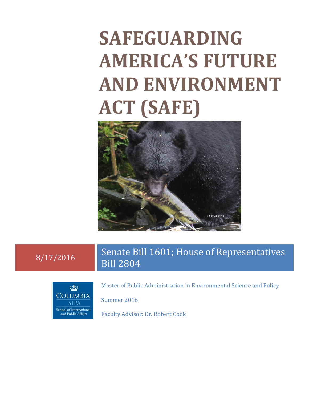# **SAFEGUARDING AMERICA'S FUTURE AND ENVIRONMENT ACT (SAFE)**



### 8/17/2016 Senate Bill 1601; House of Representatives Bill 2804



Master of Public Administration in Environmental Science and Policy

Summer 2016

Faculty Advisor: Dr. Robert Cook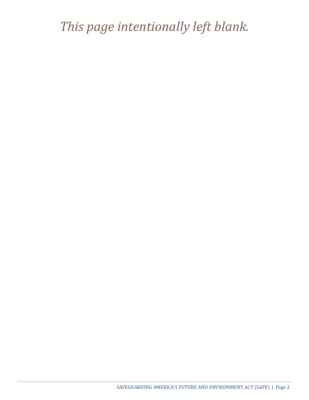*This page intentionally left blank.*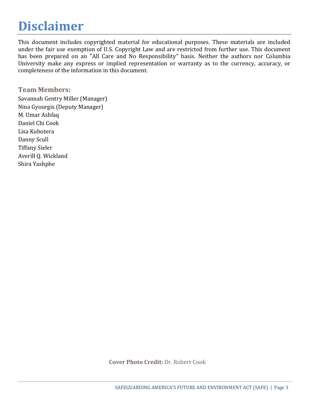### **Disclaimer**

This document includes copyrighted material for educational purposes. These materials are included under the fair use exemption of U.S. Copyright Law and are restricted from further use. This document has been prepared on an "All Care and No Responsibility" basis. Neither the authors nor Columbia University make any express or implied representation or warranty as to the currency, accuracy, or completeness of the information in this document.

#### **Team Members:**

Savannah Gentry Miller (Manager) Nina Gyourgis (Deputy Manager) M. Umar Ashfaq Daniel Chi Cook Lisa Kubotera Danny Scull Tiffany Sieler Averill Q. Wickland Shira Yashphe

**Cover Photo Credit:** Dr. Robert Cook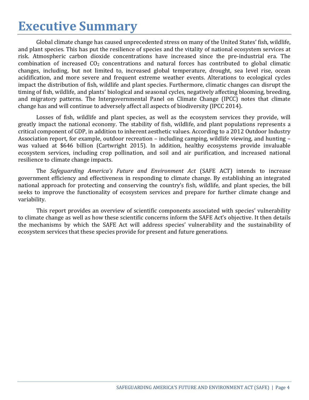### **Executive Summary**

Global climate change has caused unprecedented stress on many of the United States' fish, wildlife, and plant species. This has put the resilience of species and the vitality of national ecosystem services at risk. Atmospheric carbon dioxide concentrations have increased since the pre-industrial era. The combination of increased  $CO<sub>2</sub>$  concentrations and natural forces has contributed to global climatic changes, including, but not limited to, increased global temperature, drought, sea level rise, ocean acidification, and more severe and frequent extreme weather events. Alterations to ecological cycles impact the distribution of fish, wildlife and plant species. Furthermore, climatic changes can disrupt the timing of fish, wildlife, and plants' biological and seasonal cycles, negatively affecting blooming, breeding, and migratory patterns. The Intergovernmental Panel on Climate Change (IPCC) notes that climate change has and will continue to adversely affect all aspects of biodiversity (IPCC 2014).

Losses of fish, wildlife and plant species, as well as the ecosystem services they provide, will greatly impact the national economy. The stability of fish, wildlife, and plant populations represents a critical component of GDP, in addition to inherent aesthetic values. According to a 2012 Outdoor Industry Association report, for example, outdoor recreation – including camping, wildlife viewing, and hunting – was valued at \$646 billion (Cartwright 2015). In addition, healthy ecosystems provide invaluable ecosystem services, including crop pollination, and soil and air purification, and increased national resilience to climate change impacts.

The *Safeguarding America's Future and Environment Act* (SAFE ACT) intends to increase government efficiency and effectiveness in responding to climate change. By establishing an integrated national approach for protecting and conserving the country's fish, wildlife, and plant species, the bill seeks to improve the functionality of ecosystem services and prepare for further climate change and variability.

This report provides an overview of scientific components associated with species' vulnerability to climate change as well as how these scientific concerns inform the SAFE Act's objective. It then details the mechanisms by which the SAFE Act will address species' vulnerability and the sustainability of ecosystem services that these species provide for present and future generations.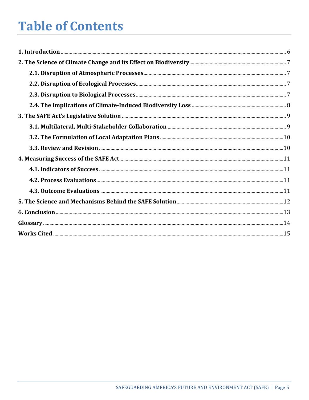### **Table of Contents**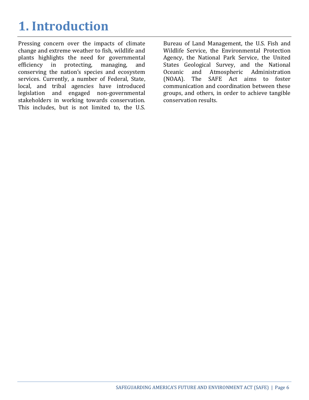### <span id="page-5-0"></span>**1. Introduction**

Pressing concern over the impacts of climate change and extreme weather to fish, wildlife and plants highlights the need for governmental efficiency in protecting, managing, and conserving the nation's species and ecosystem services. Currently, a number of Federal, State, local, and tribal agencies have introduced legislation and engaged non-governmental stakeholders in working towards conservation. This includes, but is not limited to, the U.S.

Bureau of Land Management, the U.S. Fish and Wildlife Service, the Environmental Protection Agency, the National Park Service, the United States Geological Survey, and the National Oceanic and Atmospheric Administration (NOAA). The SAFE Act aims to foster communication and coordination between these groups, and others, in order to achieve tangible conservation results.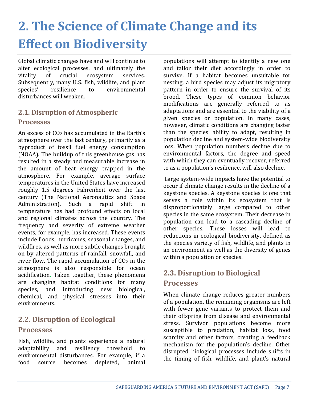## <span id="page-6-0"></span>**2. The Science of Climate Change and its Effect on Biodiversity**

Global climatic changes have and will continue to alter ecological processes, and ultimately the vitality of crucial ecosystem services. Subsequently, many U.S. fish, wildlife, and plant species' resilience to environmental disturbances will weaken.

### <span id="page-6-1"></span>**2.1. Disruption of Atmospheric**

#### **Processes**

An excess of  $CO<sub>2</sub>$  has accumulated in the Earth's atmosphere over the last century, primarily as a byproduct of fossil fuel energy consumption (NOAA). The buildup of this greenhouse gas has resulted in a steady and measurable increase in the amount of heat energy trapped in the atmosphere. For example, average surface temperatures in the United States have increased roughly 1.5 degrees Fahrenheit over the last century (The National Aeronautics and Space Administration). Such a rapid shift in temperature has had profound effects on local and regional climates across the country. The frequency and severity of extreme weather events, for example, has increased. These events include floods, hurricanes, seasonal changes, and wildfires, as well as more subtle changes brought on by altered patterns of rainfall, snowfall, and river flow. The rapid accumulation of  $CO<sub>2</sub>$  in the atmosphere is also responsible for ocean acidification. Taken together, these phenomena are changing habitat conditions for many species, and introducing new biological, chemical, and physical stresses into their environments.

#### <span id="page-6-2"></span>**2.2. Disruption of Ecological Processes**

Fish, wildlife, and plants experience a natural adaptability and resiliency threshold to environmental disturbances. For example, if a food source becomes depleted, animal populations will attempt to identify a new one and tailor their diet accordingly in order to survive. If a habitat becomes unsuitable for nesting, a bird species may adjust its migratory pattern in order to ensure the survival of its brood. These types of common behavior modifications are generally referred to as adaptations and are essential to the viability of a given species or population. In many cases, however, climatic conditions are changing faster than the species' ability to adapt, resulting in population decline and system-wide biodiversity loss. When population numbers decline due to environmental factors, the degree and speed with which they can eventually recover, referred to as a population's resilience, will also decline.

Large system-wide impacts have the potential to occur if climate change results in the decline of a keystone species. A keystone species is one that serves a role within its ecosystem that is disproportionately large compared to other species in the same ecosystem. Their decrease in population can lead to a cascading decline of other species. These losses will lead to reductions in ecological biodiversity, defined as the species variety of fish, wildlife, and plants in an environment as well as the diversity of genes within a population or species.

#### <span id="page-6-3"></span>**2.3. Disruption to Biological Processes**

When climate change reduces greater numbers of a population, the remaining organisms are left with fewer gene variants to protect them and their offspring from disease and environmental stress. Survivor populations become more susceptible to predation, habitat loss, food scarcity and other factors, creating a feedback mechanism for the population's decline. Other disrupted biological processes include shifts in the timing of fish, wildlife, and plant's natural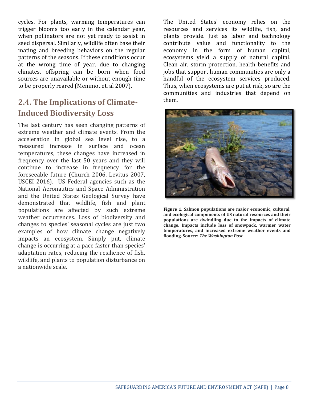cycles. For plants, warming temperatures can trigger blooms too early in the calendar year, when pollinators are not yet ready to assist in seed dispersal. Similarly, wildlife often base their mating and breeding behaviors on the regular patterns of the seasons. If these conditions occur at the wrong time of year, due to changing climates, offspring can be born when food sources are unavailable or without enough time to be properly reared (Memmot et. al 2007).

#### <span id="page-7-0"></span>**2.4. The Implications of Climate-Induced Biodiversity Loss**

The last century has seen changing patterns of extreme weather and climate events. From the acceleration in global sea level rise, to a measured increase in surface and ocean temperatures, these changes have increased in frequency over the last 50 years and they will continue to increase in frequency for the foreseeable future (Church 2006, Levitus 2007, USCEI 2016). US Federal agencies such as the National Aeronautics and Space Administration and the United States Geological Survey have demonstrated that wildlife, fish and plant populations are affected by such extreme weather occurrences. Loss of biodiversity and changes to species' seasonal cycles are just two examples of how climate change negatively impacts an ecosystem. Simply put, climate change is occurring at a pace faster than species' adaptation rates, reducing the resilience of fish, wildlife, and plants to population disturbance on a nationwide scale.

The United States' economy relies on the resources and services its wildlife, fish, and plants provide. Just as labor and technology contribute value and functionality to the economy in the form of human capital, ecosystems yield a supply of natural capital. Clean air, storm protection, health benefits and jobs that support human communities are only a handful of the ecosystem services produced. Thus, when ecosystems are put at risk, so are the communities and industries that depend on them.



**Figure 1. Salmon populations are major economic, cultural, and ecological components of US natural resources and their populations are dwindling due to the impacts of climate change. Impacts include loss of snowpack, warmer water temperatures, and increased extreme weather events and flooding. Source:** *The Washington Post*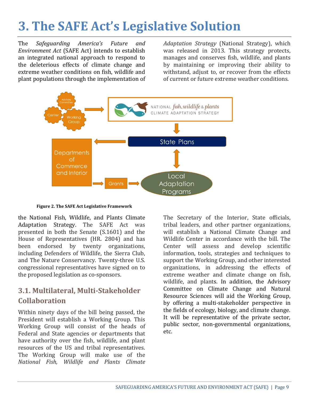### <span id="page-8-0"></span>**3. The SAFE Act's Legislative Solution**

The *Safeguarding America's Future and Environment Act* (SAFE Act) intends to establish an integrated national approach to respond to the deleterious effects of climate change and extreme weather conditions on fish, wildlife and plant populations through the implementation of *Adaptation Strategy* (National Strategy), which was released in 2013. This strategy protects, manages and conserves fish, wildlife, and plants by maintaining or improving their ability to withstand, adjust to, or recover from the effects of current or future extreme weather conditions.



**Figure 2. The SAFE Act Legislative Framework**

the National Fish, Wildlife, and Plants Climate Adaptation Strategy. The SAFE Act was presented in both the Senate (S.1601) and the House of Representatives (HR. 2804) and has been endorsed by twenty organizations, including Defenders of Wildlife, the Sierra Club, and The Nature Conservancy. Twenty-three U.S. congressional representatives have signed on to the proposed legislation as co-sponsors.

#### <span id="page-8-1"></span>**3.1. Multilateral, Multi-Stakeholder Collaboration**

Within ninety days of the bill being passed, the President will establish a Working Group. This Working Group will consist of the heads of Federal and State agencies or departments that have authority over the fish, wildlife, and plant resources of the US and tribal representatives. The Working Group will make use of the *National Fish, Wildlife and Plants Climate* 

The Secretary of the Interior, State officials, tribal leaders, and other partner organizations, will establish a National Climate Change and Wildlife Center in accordance with the bill. The Center will assess and develop scientific information, tools, strategies and techniques to support the Working Group, and other interested organizations, in addressing the effects of extreme weather and climate change on fish, wildlife, and plants. In addition, the Advisory Committee on Climate Change and Natural Resource Sciences will aid the Working Group, by offering a multi-stakeholder perspective in the fields of ecology, biology, and climate change. It will be representative of the private sector, public sector, non-governmental organizations, etc.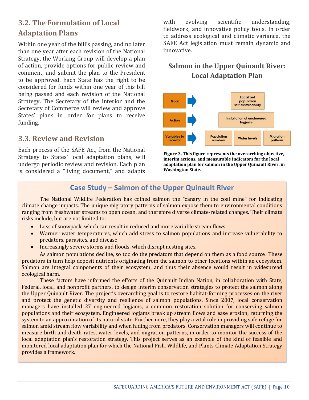#### <span id="page-9-0"></span>**3.2. The Formulation of Local Adaptation Plans**

Within one year of the bill's passing, and no later than one year after each revision of the National Strategy, the Working Group will develop a plan of action, provide options for public review and comment, and submit the plan to the President to be approved. Each State has the right to be considered for funds within one year of this bill being passed and each revision of the National Strategy. The Secretary of the Interior and the Secretary of Commerce will review and approve States' plans in order for plans to receive funding.

#### <span id="page-9-1"></span>**3.3. Review and Revision**

Each process of the SAFE Act, from the National Strategy to States' local adaptation plans, will undergo periodic review and revision. Each plan is considered a "living document," and adapts with evolving scientific understanding, fieldwork, and innovative policy tools. In order to address ecological and climatic variance, the SAFE Act legislation must remain dynamic and innovative.

#### **Salmon in the Upper Quinault River: Local Adaptation Plan**



**Figure 3. This figure represents the overarching objective, interim actions, and measurable indicators for the local adaptation plan for salmon in the Upper Quinault River, in Washington State.** 

#### **Case Study – Salmon of the Upper Quinault River**

The National Wildlife Federation has coined salmon the "canary in the coal mine" for indicating climate change impacts. The unique migratory patterns of salmon expose them to environmental conditions ranging from freshwater streams to open ocean, and therefore diverse climate-related changes. Their climate risks include, but are not limited to:

- Loss of snowpack, which can result in reduced and more variable stream flows
- Warmer water temperatures, which add stress to salmon populations and increase vulnerability to predators, parasites, and disease
- Increasingly severe storms and floods, which disrupt nesting sites.

As salmon populations decline, so too do the predators that depend on them as a food source. These predators in turn help deposit nutrients originating from the salmon to other locations within an ecosystem. Salmon are integral components of their ecosystem, and thus their absence would result in widespread ecological harm.

These factors have informed the efforts of the Quinault Indian Nation, in collaboration with State, Federal, local, and nonprofit partners, to design interim conservation strategies to protect the salmon along the Upper Quinault River. The project's overarching goal is to restore habitat-forming processes on the river and protect the genetic diversity and resilience of salmon populations. Since 2007, local conservation managers have installed 27 engineered logjams, a common restoration solution for conserving salmon populations and their ecosystem. Engineered logjams break up stream flows and ease erosion, returning the system to an approximation of its natural state. Furthermore, they play a vital role in providing safe refuge for salmon amid stream flow variability and when hiding from predators. Conservation managers will continue to measure birth and death rates, water levels, and migration patterns, in order to monitor the success of the local adaptation plan's restoration strategy. This project serves as an example of the kind of feasible and monitored local adaptation plan for which the National Fish, Wildlife, and Plants Climate Adaptation Strategy provides a framework.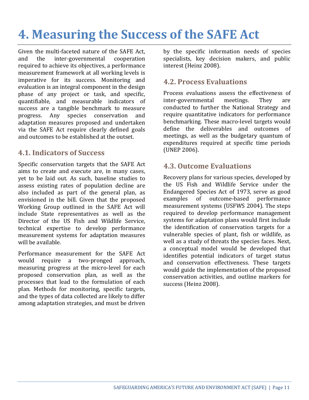### <span id="page-10-0"></span>**4. Measuring the Success of the SAFE Act**

Given the multi-faceted nature of the SAFE Act, and the inter-governmental cooperation required to achieve its objectives, a performance measurement framework at all working levels is imperative for its success. Monitoring and evaluation is an integral component in the design phase of any project or task, and specific, quantifiable, and measurable indicators of success are a tangible benchmark to measure progress. Any species conservation and adaptation measures proposed and undertaken via the SAFE Act require clearly defined goals and outcomes to be established at the outset.

#### <span id="page-10-1"></span>**4.1. Indicators of Success**

Specific conservation targets that the SAFE Act aims to create and execute are, in many cases, yet to be laid out. As such, baseline studies to assess existing rates of population decline are also included as part of the general plan, as envisioned in the bill. Given that the proposed Working Group outlined in the SAFE Act will include State representatives as well as the Director of the US Fish and Wildlife Service, technical expertise to develop performance measurement systems for adaptation measures will be available.

Performance measurement for the SAFE Act would require a two-pronged approach, measuring progress at the micro-level for each proposed conservation plan, as well as the processes that lead to the formulation of each plan. Methods for monitoring, specific targets, and the types of data collected are likely to differ among adaptation strategies, and must be driven

by the specific information needs of species specialists, key decision makers, and public interest (Heinz 2008).

#### <span id="page-10-2"></span>**4.2. Process Evaluations**

Process evaluations assess the effectiveness of inter-governmental meetings. They are conducted to further the National Strategy and require quantitative indicators for performance benchmarking. These macro-level targets would define the deliverables and outcomes of meetings, as well as the budgetary quantum of expenditures required at specific time periods (UNEP 2006).

#### <span id="page-10-3"></span>**4.3. Outcome Evaluations**

Recovery plans for various species, developed by the US Fish and Wildlife Service under the Endangered Species Act of 1973, serve as good examples of outcome-based performance measurement systems (USFWS 2004). The steps required to develop performance management systems for adaptation plans would first include the identification of conservation targets for a vulnerable species of plant, fish or wildlife, as well as a study of threats the species faces. Next, a conceptual model would be developed that identifies potential indicators of target status and conservation effectiveness. These targets would guide the implementation of the proposed conservation activities, and outline markers for success (Heinz 2008).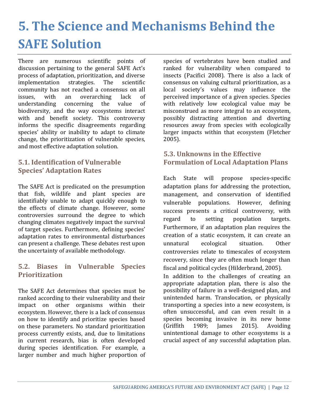### <span id="page-11-0"></span>**5. The Science and Mechanisms Behind the SAFE Solution**

There are numerous scientific points of discussion pertaining to the general SAFE Act's process of adaptation, prioritization, and diverse implementation strategies. The scientific community has not reached a consensus on all issues, with an overarching lack of understanding concerning the value of biodiversity, and the way ecosystems interact with and benefit society. This controversy informs the specific disagreements regarding species' ability or inability to adapt to climate change, the prioritization of vulnerable species, and most effective adaptation solution.

#### **5.1. Identification of Vulnerable Species' Adaptation Rates**

The SAFE Act is predicated on the presumption that fish, wildlife and plant species are identifiably unable to adapt quickly enough to the effects of climate change. However, some controversies surround the degree to which changing climates negatively impact the survival of target species. Furthermore, defining species' adaptation rates to environmental disturbances can present a challenge. These debates rest upon the uncertainty of available methodology.

#### **5.2. Biases in Vulnerable Species Prioritization**

The SAFE Act determines that species must be ranked according to their vulnerability and their impact on other organisms within their ecosystem. However, there is a lack of consensus on how to identify and prioritize species based on these parameters. No standard prioritization process currently exists, and, due to limitations in current research, bias is often developed during species identification. For example, a larger number and much higher proportion of species of vertebrates have been studied and ranked for vulnerability when compared to insects (Pacifici 2008). There is also a lack of consensus on valuing cultural prioritization, as a local society's values may influence the perceived importance of a given species. Species with relatively low ecological value may be misconstrued as more integral to an ecosystem, possibly distracting attention and diverting resources away from species with ecologically larger impacts within that ecosystem (Fletcher 2005).

#### **5.3. Unknowns in the Effective Formulation of Local Adaptation Plans**

Each State will propose species-specific adaptation plans for addressing the protection, management, and conservation of identified vulnerable populations. However, defining success presents a critical controversy, with regard to setting population targets. Furthermore, if an adaptation plan requires the creation of a static ecosystem, it can create an unnatural ecological situation. Other controversies relate to timescales of ecosystem recovery, since they are often much longer than fiscal and political cycles (Hilderbrand, 2005).

In addition to the challenges of creating an appropriate adaptation plan, there is also the possibility of failure in a well-designed plan, and unintended harm. Translocation, or physically transporting a species into a new ecosystem, is often unsuccessful, and can even result in a species becoming invasive in its new home (Griffith 1989; James 2015). Avoiding unintentional damage to other ecosystems is a crucial aspect of any successful adaptation plan.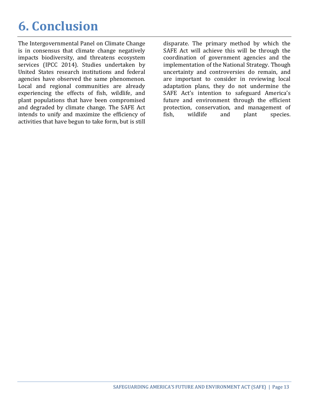### <span id="page-12-0"></span>**6. Conclusion**

The Intergovernmental Panel on Climate Change is in consensus that climate change negatively impacts biodiversity, and threatens ecosystem services (IPCC 2014). Studies undertaken by United States research institutions and federal agencies have observed the same phenomenon. Local and regional communities are already experiencing the effects of fish, wildlife, and plant populations that have been compromised and degraded by climate change. The SAFE Act intends to unify and maximize the efficiency of activities that have begun to take form, but is still

disparate. The primary method by which the SAFE Act will achieve this will be through the coordination of government agencies and the implementation of the National Strategy. Though uncertainty and controversies do remain, and are important to consider in reviewing local adaptation plans, they do not undermine the SAFE Act's intention to safeguard America's future and environment through the efficient protection, conservation, and management of fish, wildlife and plant species.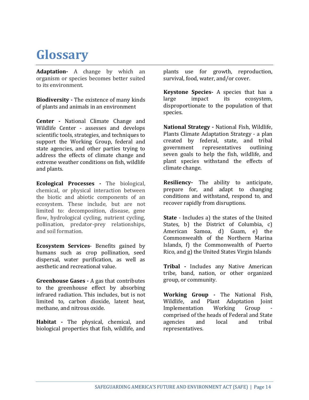### <span id="page-13-0"></span>**Glossary**

**Adaptation-** A change by which an organism or species becomes better suited to its environment.

**Biodiversity -** The existence of many kinds of plants and animals in an environment

**Center -** National Climate Change and Wildlife Center - assesses and develops scientific tools, strategies, and techniques to support the Working Group, federal and state agencies, and other parties trying to address the effects of climate change and extreme weather conditions on fish, wildlife and plants.

**Ecological Processes -** The biological, chemical, or physical interaction between the biotic and abiotic components of an ecosystem. These include, but are not limited to: decomposition, disease, gene flow, hydrological cycling, nutrient cycling, pollination, predator-prey relationships, and soil formation.

**Ecosystem Services**- Benefits gained by humans such as crop pollination, seed dispersal, water purification, as well as aesthetic and recreational value.

**Greenhouse Gases -** A gas that contributes to the greenhouse effect by absorbing infrared radiation. This includes, but is not limited to, carbon dioxide, latent heat, methane, and nitrous oxide.

**Habitat -** The physical, chemical, and biological properties that fish, wildlife, and plants use for growth, reproduction, survival, food, water, and/or cover.

**Keystone Species-** A species that has a large impact its ecosystem, disproportionate to the population of that species.

**National Strategy -** National Fish, Wildlife, Plants Climate Adaptation Strategy - a plan created by federal, state, and tribal government representatives outlining seven goals to help the fish, wildlife, and plant species withstand the effects of climate change.

**Resiliency-** The ability to anticipate, prepare for, and adapt to changing conditions and withstand, respond to, and recover rapidly from disruptions.

**State** - Includes a) the states of the United States, b) the District of Columbia, c) American Samoa, d) Guam, e) the Commonwealth of the Northern Marina Islands, f) the Commonwealth of Puerto Rico, and g) the United States Virgin Islands

**Tribal -** Includes any Native American tribe, band, nation, or other organized group, or community.

**Working Group -** The National Fish, Wildlife, and Plant Adaptation Joint Implementation Working Group comprised of the heads of Federal and State agencies and local and tribal representatives.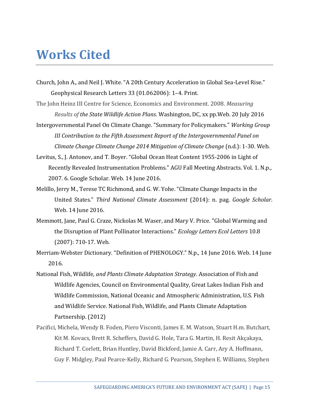### <span id="page-14-0"></span>**Works Cited**

- Church, John A., and Neil J. White. "A 20th Century Acceleration in Global Sea-Level Rise." Geophysical Research Letters 33 (01.062006): 1–4. Print.
- The John Heinz III Centre for Science, Economics and Environment. 2008. *Measuring Results of the State Wildlife Action Plans*. Washington, DC, xx pp.Web. 20 July 2016
- Intergovernmental Panel On Climate Change. "Summary for Policymakers." *Working Group III Contribution to the Fifth Assessment Report of the Intergovernmental Panel on Climate Change Climate Change 2014 Mitigation of Climate Change* (n.d.): 1-30. Web.
- Levitus, S., J. Antonov, and T. Boyer. "Global Ocean Heat Content 1955-2006 in Light of Recently Revealed Instrumentation Problems." AGU Fall Meeting Abstracts. Vol. 1. N.p., 2007. 6. Google Scholar. Web. 14 June 2016.
- Melillo, Jerry M., Terese TC Richmond, and G. W. Yohe. "Climate Change Impacts in the United States." *Third National Climate Assessment* (2014): n. pag. *Google Scholar*. Web. 14 June 2016.
- Memmott, Jane, Paul G. Craze, Nickolas M. Waser, and Mary V. Price. "Global Warming and the Disruption of Plant Pollinator Interactions." *Ecology Letters Ecol Letters* 10.8 (2007): 710-17. Web.
- Merriam-Webster Dictionary. "Definition of PHENOLOGY." N.p., 14 June 2016. Web. 14 June 2016.
- National Fish, Wildlife*, and Plants Climate Adaptation Strategy*. Association of Fish and Wildlife Agencies, Council on Environmental Quality, Great Lakes Indian Fish and Wildlife Commission, National Oceanic and Atmospheric Administration, U.S. Fish and Wildlife Service. National Fish, Wildlife, and Plants Climate Adaptation Partnership. (2012)
- Pacifici, Michela, Wendy B. Foden, Piero Visconti, James E. M. Watson, Stuart H.m. Butchart, Kit M. Kovacs, Brett R. Scheffers, David G. Hole, Tara G. Martin, H. Resit Akçakaya, Richard T. Corlett, Brian Huntley, David Bickford, Jamie A. Carr, Ary A. Hoffmann, Guy F. Midgley, Paul Pearce-Kelly, Richard G. Pearson, Stephen E. Williams, Stephen